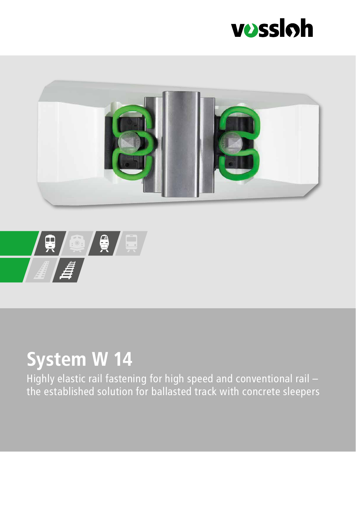





## **System W 14**

Highly elastic rail fastening for high speed and conventional rail – the established solution for ballasted track with concrete sleepers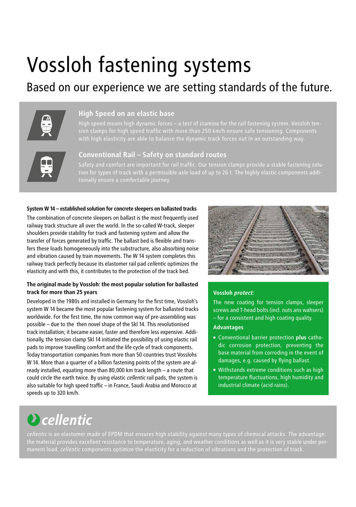# Vossloh fastening systems

### Based on our experience we are setting standards of the future.



### **High Speed on an elastic base**

High speed means high dynamic forces – a test of stamina for the rail fastening system. Vossloh tenwith high elasticity are able to balance the dynamic track forces out in an outstanding way.



### **Conventional Rail – Safety on standard routes**

### **System W 14 – established solution for concrete sleepers on ballasted tracks**

The combination of concrete sleepers on ballast is the most frequently used railway track structure all over the world. In the so-called W-track, sleeper shoulders provide stability for track and fastening system and allow the transfer of forces generated by traffic. The ballast bed is flexible and transfers these loads homogeneously into the substructure, also absorbing noise and vibration caused by train movements. The W 14 system completes this railway track perfectly because its elastomer rail pad *cellentic* optimizes the elasticity and with this, it contributes to the protection of the track bed.

### **The original made by Vossloh: the most popular solution for ballasted track for more than 25 years**

Developed in the 1980s and installed in Germany for the first time, Vossloh's system W 14 became the most popular fastening system for ballasted tracks worldwide. For the first time, the now common way of pre-assembling was possible – due to the then novel shape of the Skl 14. This revolutionised track installation; it became easier, faster and therefore less expensive. Additionally, the tension clamp Skl 14 initiated the possibility of using elastic rail pads to improve travelling comfort and the life cycle of track components. Today transportation companies from more than 50 countries trust Vosslohs W 14. More than a quarter of a billion fastening points of the system are already installed, equating more than 80,000 km track length – a route that could circle the earth twice. By using elastic *cellentic* rail pads, the system is also suitable for high speed traffic – in France, Saudi Arabia and Morocco at speeds up to 320 km/h.



### **Vossloh** *protect:*

The new coating for tension clamps, sleeper screws and T-head bolts (incl. nuts ans wahsers) – for a consistent and high coating quality.

### **Advantages**

- Conventional barrier protection **plus** cathodic corrosion protection, preventing the base material from corroding in the event of damages, e.g. caused by flying ballast.
- Withstands extreme conditions such as high temperature fluctuations, high humidity and industrial climate (acid rains).

### **D** cellentic

*cellentic* is an elastomer made of EPDM that ensures high stability against many types of chemical attacks. The advantage: the material provides excellent resistance to temperature, aging, and weather conditions as well as it is very stable under per-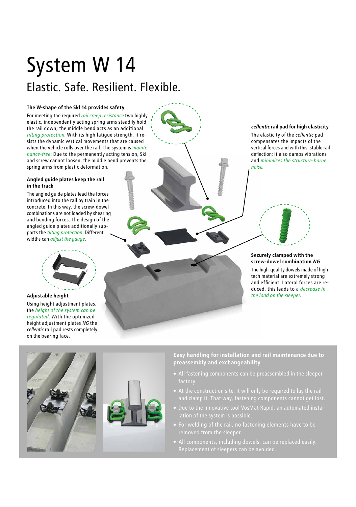## System W 14 Elastic. Safe. Resilient. Flexible.

### **The W-shape of the Skl 14 provides safety**

For meeting the required *rail creep resistance* two highly elastic, independently acting spring arms steadily hold the rail down; the middle bend acts as an additional *tilting protection*. With its high fatigue strength, it resists the dynamic vertical movements that are caused when the vehicle rolls over the rail. The system is *maintenance-free*: Due to the permanently acting tension, Skl and screw cannot loosen, the middle bend prevents the spring arms from plastic deformation.

#### **Angled guide plates keep the rail in the track**

The angled guide plates lead the forces introduced into the rail by train in the concrete. In this way, the screw-dowel combinations are not loaded by shearing and bending forces. The design of the angled guide plates additionally supports the *tilting protection*. Different widths can *adjust the gauge.*



**Adjustable height**

Using height adjustment plates, the *height of the system can be regulated.* With the optimized height adjustment plates *NG* the *cellentic* rail pad rests completely on the bearing face.



### *cellentic* **rail pad for high elasticity**

The elasticity of the *cellentic* pad compensates the impacts of the vertical forces and with this, stable rail deflection; it also damps vibrations and *minimizes the structure-borne noise.*

#### **Securely clamped with the screw-dowel combination** *NG*

The high-quality dowels made of hightech material are extremely strong and efficient: Lateral forces are reduced, this leads to a *decrease in the load on the sleeper.*

**Easy handling for installation and rail maintenance due to preassembly and exchangeability**

- factory.
- At the construction site, it will only be required to lay the rail
- Due to the innovative tool VosMat Rapid, an automated instal-
- 
- All components, including dowels, can be replaced easily.